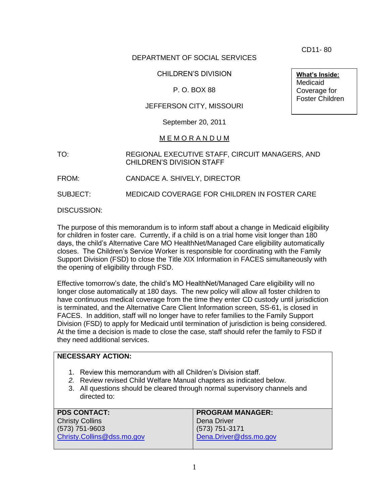CD11- 80

# DEPARTMENT OF SOCIAL SERVICES

### CHILDREN'S DIVISION

### P. O. BOX 88

### JEFFERSON CITY, MISSOURI

#### September 20, 2011

#### M E M O R A N D U M

TO: REGIONAL EXECUTIVE STAFF, CIRCUIT MANAGERS, AND CHILDREN'S DIVISION STAFF

FROM: CANDACE A. SHIVELY, DIRECTOR

SUBJECT: MEDICAID COVERAGE FOR CHILDREN IN FOSTER CARE

DISCUSSION:

The purpose of this memorandum is to inform staff about a change in Medicaid eligibility for children in foster care. Currently, if a child is on a trial home visit longer than 180 days, the child's Alternative Care MO HealthNet/Managed Care eligibility automatically closes. The Children's Service Worker is responsible for coordinating with the Family Support Division (FSD) to close the Title XIX Information in FACES simultaneously with the opening of eligibility through FSD.

Effective tomorrow's date, the child's MO HealthNet/Managed Care eligibility will no longer close automatically at 180 days. The new policy will allow all foster children to have continuous medical coverage from the time they enter CD custody until jurisdiction is terminated, and the Alternative Care Client Information screen, SS-61, is closed in FACES. In addition, staff will no longer have to refer families to the Family Support Division (FSD) to apply for Medicaid until termination of jurisdiction is being considered. At the time a decision is made to close the case, staff should refer the family to FSD if they need additional services.

### **NECESSARY ACTION:**

- 1. Review this memorandum with all Children's Division staff.
- *2.* Review revised Child Welfare Manual chapters as indicated below.
- 3. All questions should be cleared through normal supervisory channels and directed to:

| <b>PDS CONTACT:</b>        | <b>PROGRAM MANAGER:</b> |
|----------------------------|-------------------------|
| <b>Christy Collins</b>     | Dena Driver             |
| $(573) 751 - 9603$         | $(573) 751 - 3171$      |
| Christy.Collins@dss.mo.gov | Dena.Driver@dss.mo.gov  |
|                            |                         |

**What's Inside:** Medicaid Coverage for Foster Children